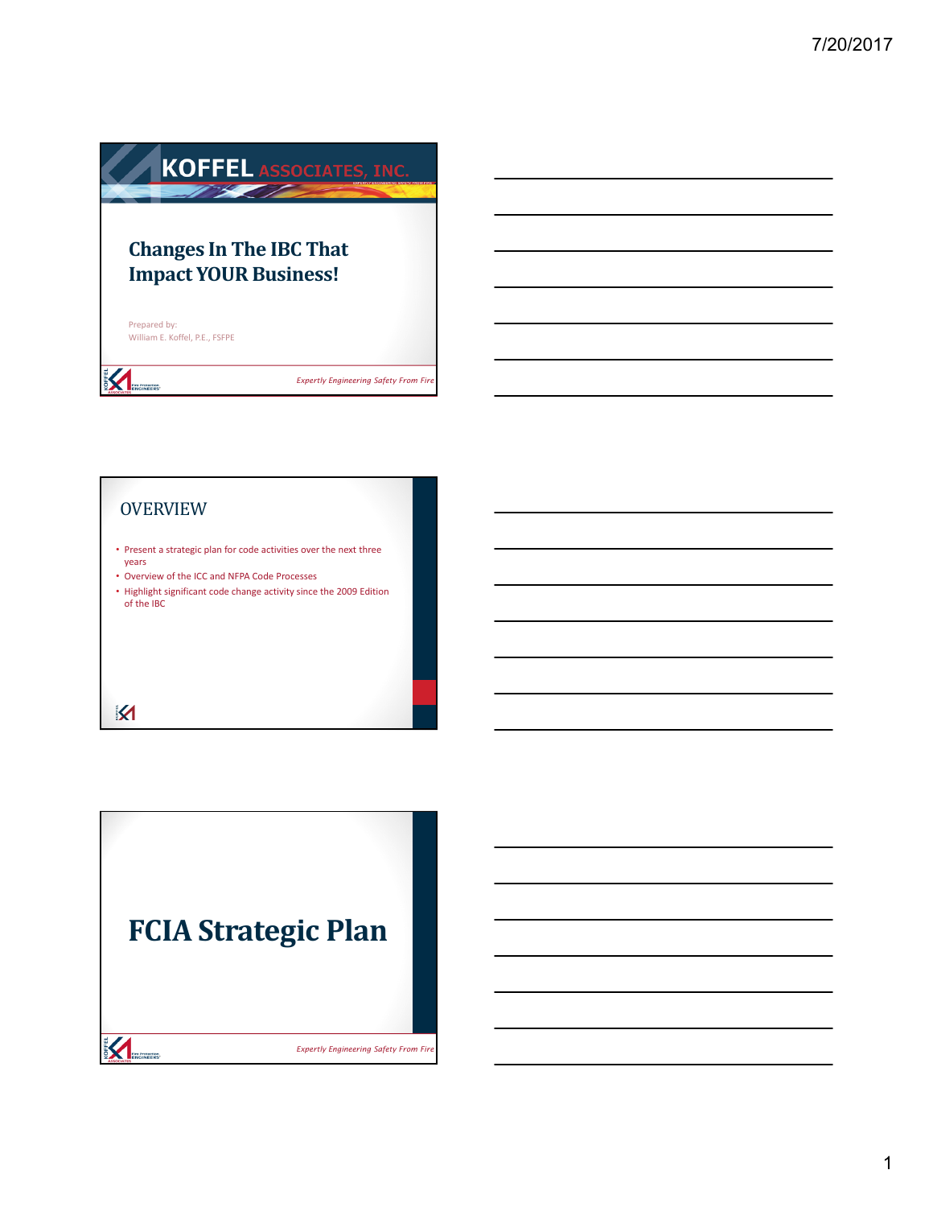# **KOFFEL ASSOCIATES, INC. Changes In The IBC That Impact YOUR Business!** Prepared by: William E. Koffel, P.E., FSFPE **ENGINEERS**

<sup>1</sup> *Expertly Engineering Safety From Fire*

# OVERVIEW

- Present a strategic plan for code activities over the next three years
- Overview of the ICC and NFPA Code Processes
- Highlight significant code change activity since the 2009 Edition of the IBC

## $\overline{\mathbf{M}}$

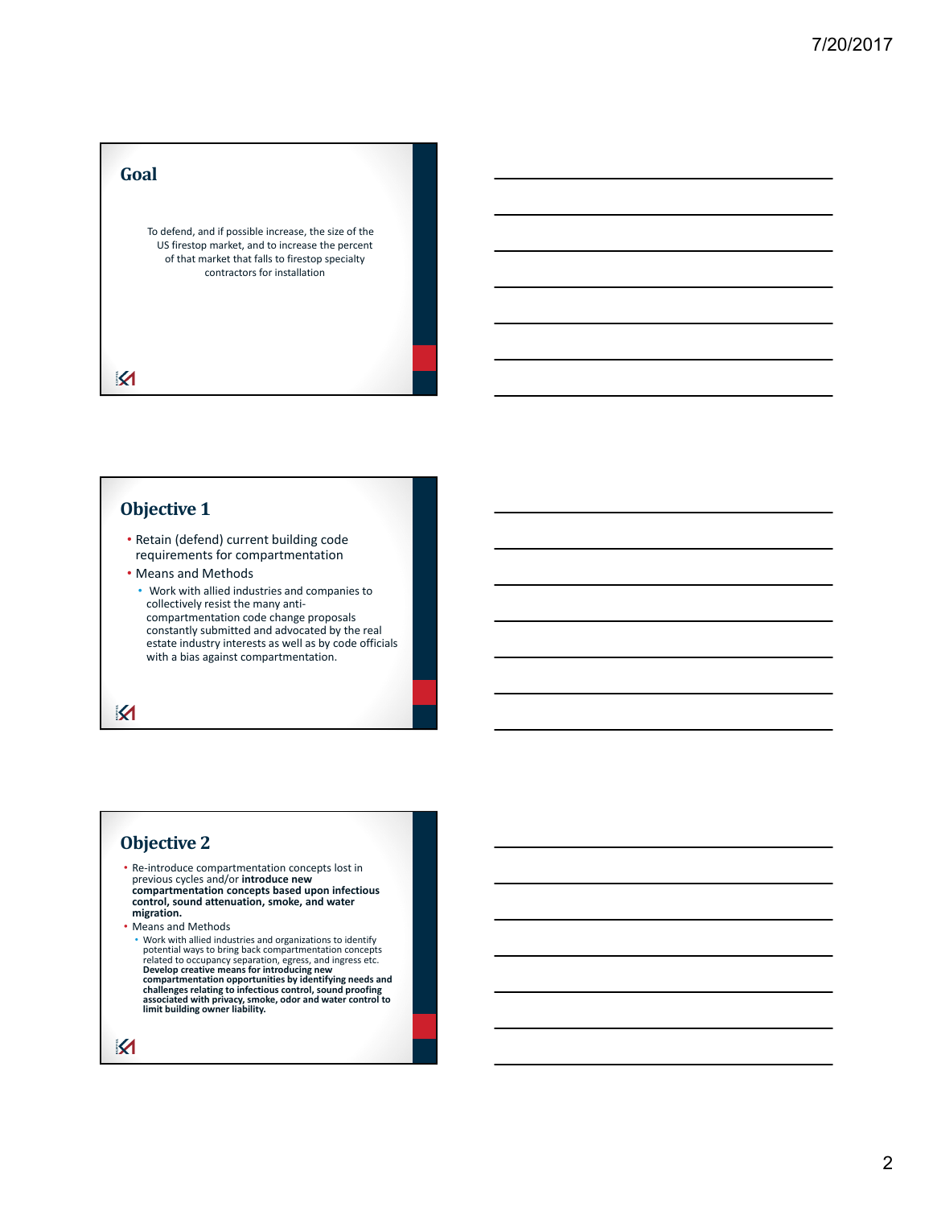#### **Goal**

To defend, and if possible increase, the size of the US firestop market, and to increase the percent of that market that falls to firestop specialty contractors for installation

 $\boldsymbol{\mathsf{K}}$ 

### **Objective 1**

• Retain (defend) current building code requirements for compartmentation

- Means and Methods
	- Work with allied industries and companies to collectively resist the many anti‐ compartmentation code change proposals constantly submitted and advocated by the real estate industry interests as well as by code officials with a bias against compartmentation.

K

#### **Objective 2**

- Re‐introduce compartmentation concepts lost in previous cycles and/or **introduce new compartmentation concepts based upon infectious control, sound attenuation, smoke, and water migration.**
- Means and Methods
	- Work with allied industries and organizations to identify potential ways to bring back compartmentation concepts related to occupancy separation, egress, and ingress etc.<br>Develop creative means for introducing new<br>compartmentation opportunities by identifying needs and<br>challenges relating to infectious control, sound proofing<br>associa

```
\boldsymbol{\mathsf{M}}
```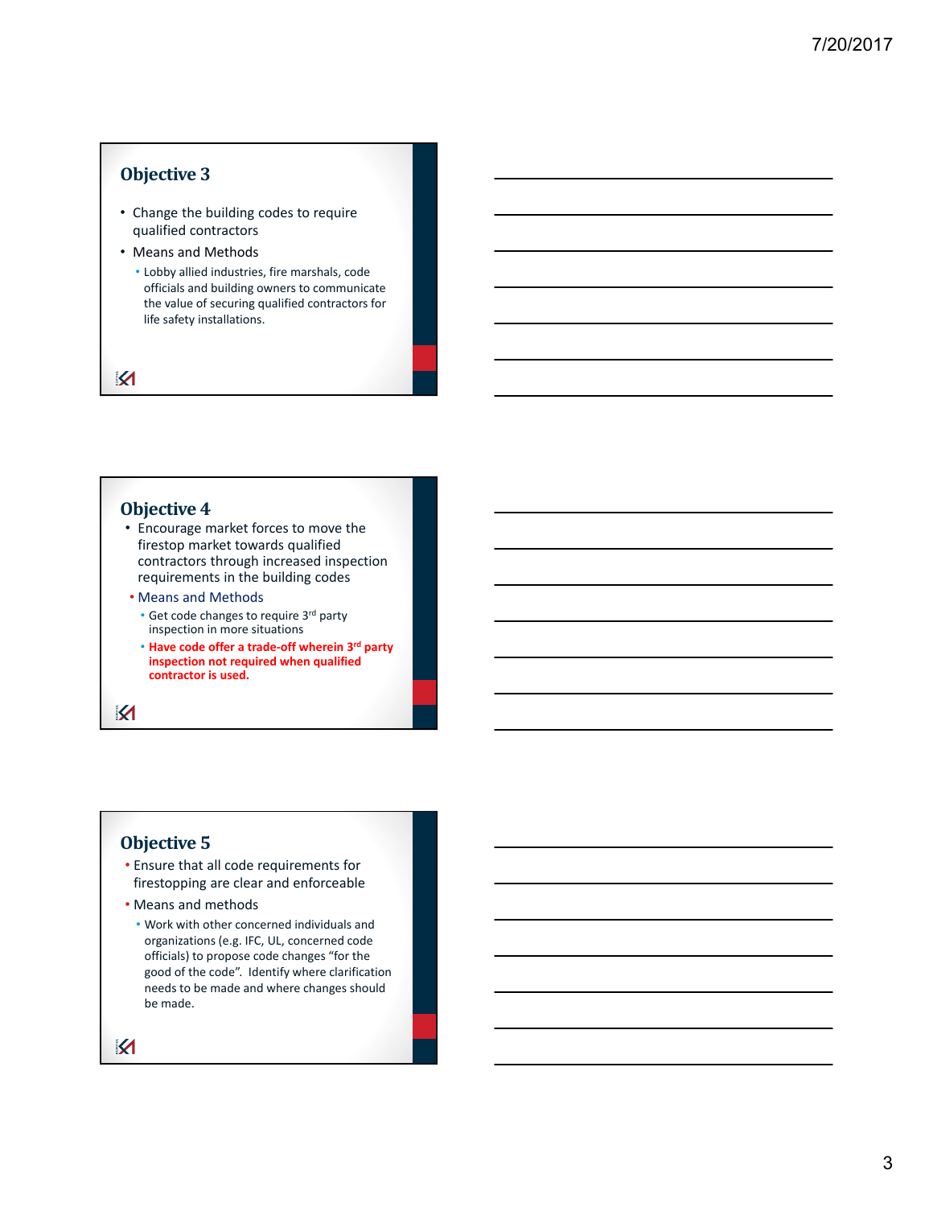#### **Objective 3**

- Change the building codes to require qualified contractors
- Means and Methods
	- Lobby allied industries, fire marshals, code officials and building owners to communicate the value of securing qualified contractors for life safety installations.

 $\boldsymbol{\mathsf{K}}$ 

#### **Objective 4**

- Encourage market forces to move the firestop market towards qualified contractors through increased inspection requirements in the building codes
- Means and Methods
	- Get code changes to require 3rd party inspection in more situations
	- **Have code offer a trade‐off wherein 3rd party inspection not required when qualified contractor is used.**

K

#### **Objective 5**

- Ensure that all code requirements for firestopping are clear and enforceable
- Means and methods
	- Work with other concerned individuals and organizations (e.g. IFC, UL, concerned code officials) to propose code changes "for the good of the code". Identify where clarification needs to be made and where changes should be made.

 $\boldsymbol{\mathsf{M}}$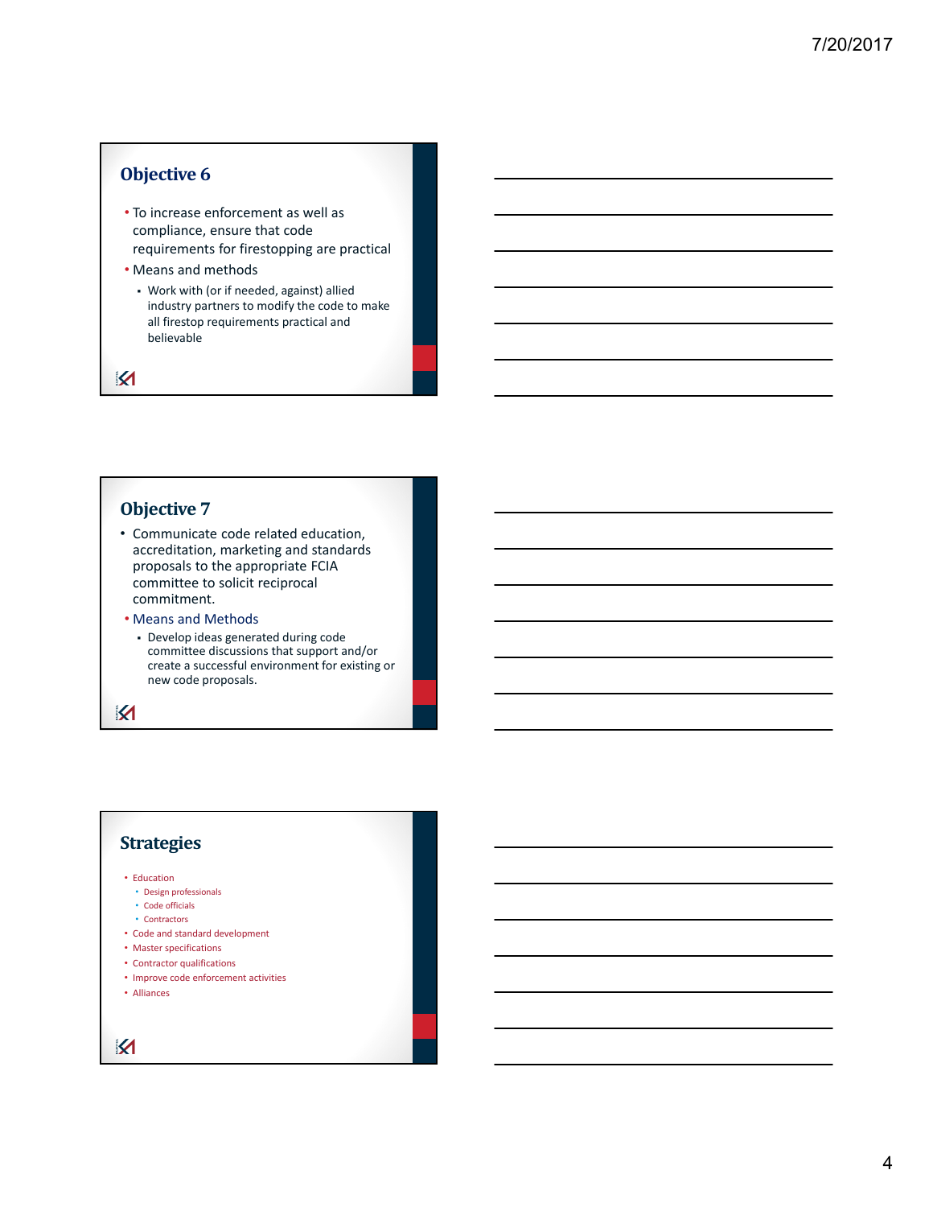## **Objective 6**

- To increase enforcement as well as compliance, ensure that code requirements for firestopping are practical
- Means and methods
	- Work with (or if needed, against) allied industry partners to modify the code to make all firestop requirements practical and believable

 $\boldsymbol{\mathsf{K}}$ 

#### **Objective 7**

- Communicate code related education, accreditation, marketing and standards proposals to the appropriate FCIA committee to solicit reciprocal commitment.
- Means and Methods
	- Develop ideas generated during code committee discussions that support and/or create a successful environment for existing or new code proposals.

K

### **Strategies**

• Education

- Design professionals
- Code officials
- Contractors
- Code and standard development
- Master specifications
- Contractor qualifications
- Improve code enforcement activities
- Alliances

K

4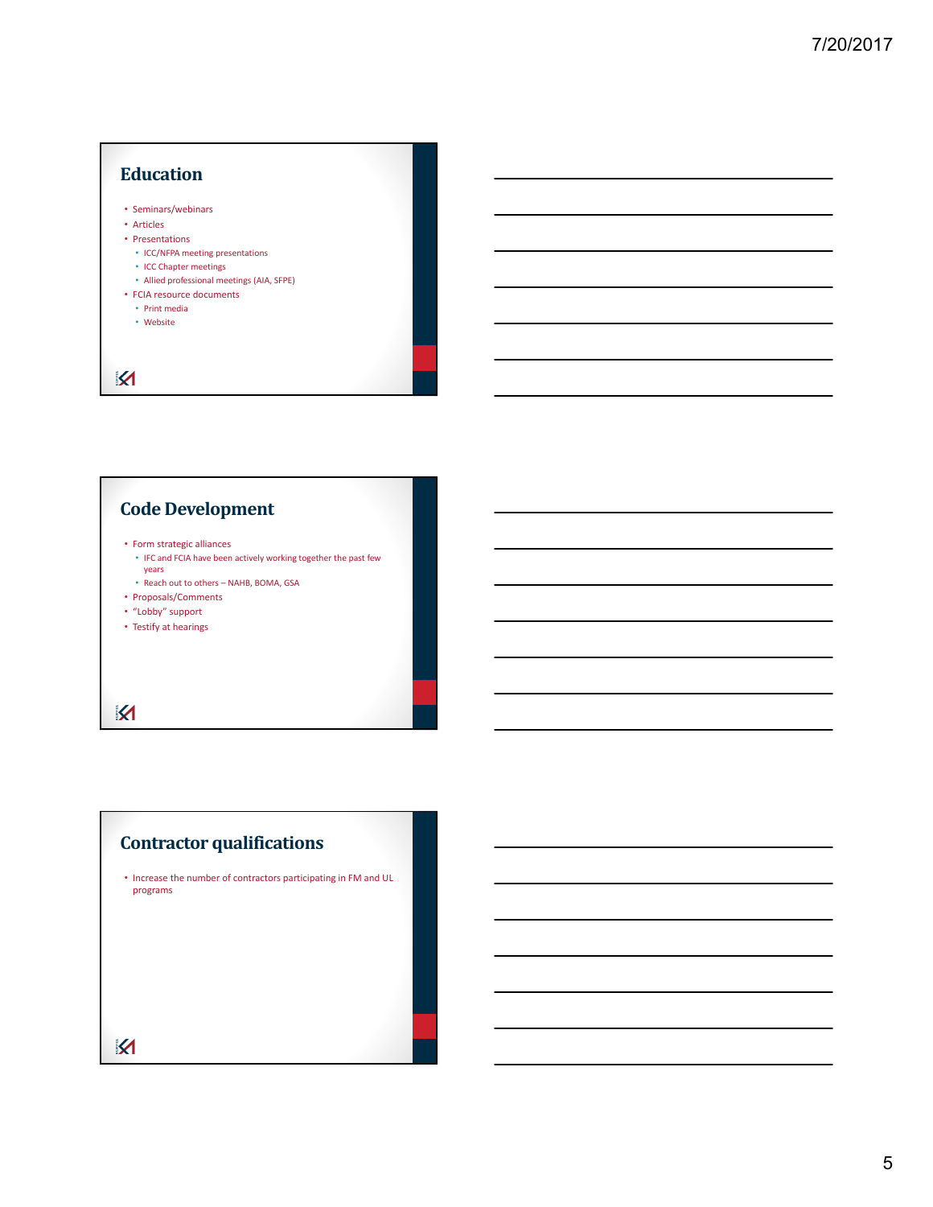# **Education** • Seminars/webinars • Articles • Presentations • ICC/NFPA meeting presentations • ICC Chapter meetings • Allied professional meetings (AIA, SFPE) • FCIA resource documents • Print media • Website  $\boldsymbol{\mathsf{M}}$

# **Code Development**

- Form strategic alliances
- IFC and FCIA have been actively working together the past few years
- Reach out to others NAHB, BOMA, GSA
- Proposals/Comments
- "Lobby" support
- Testify at hearings

 $\overline{\mathbf{M}}$ 

# **Contractor qualifications**

• Increase the number of contractors participating in FM and UL programs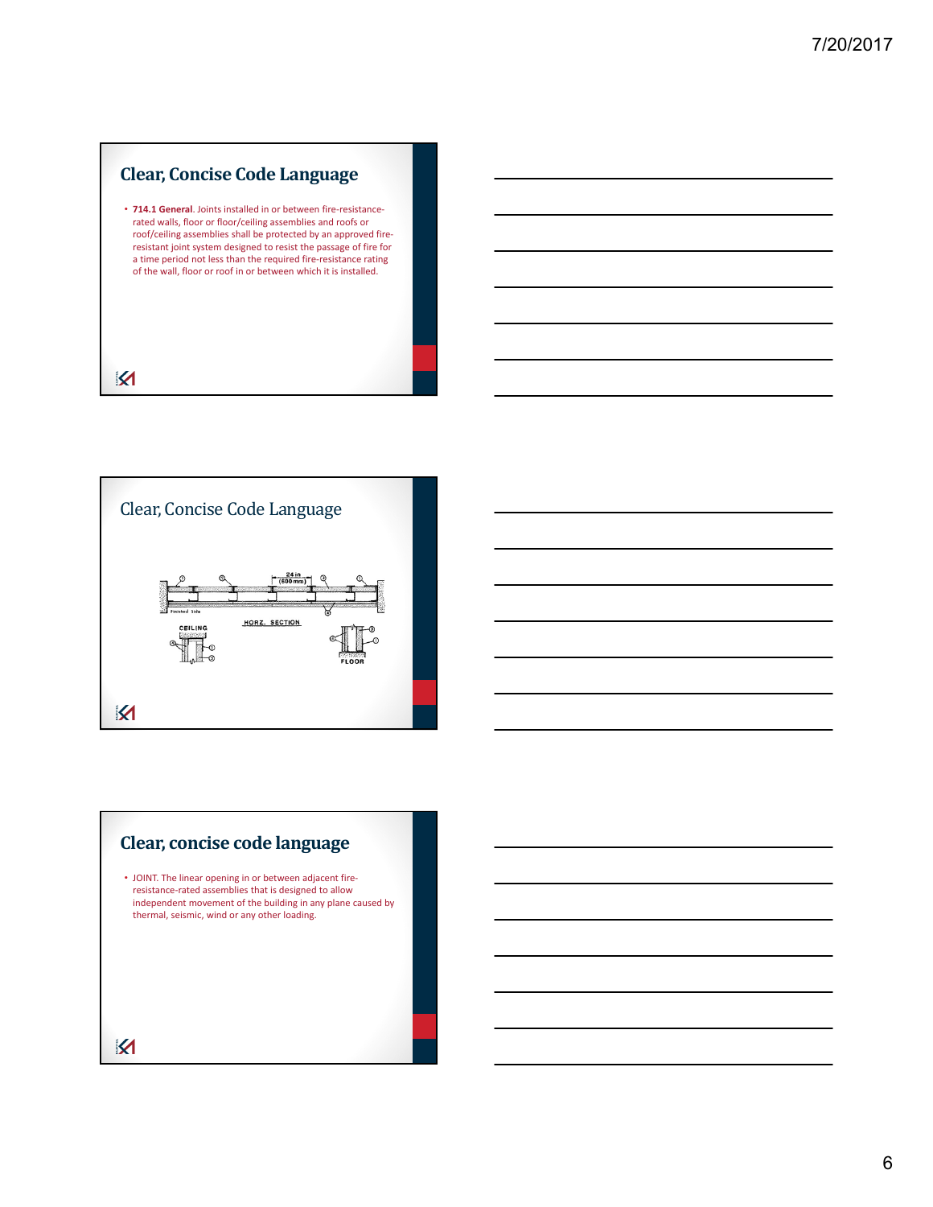# **Clear, Concise Code Language**

• **714.1 General**. Joints installed in or between fire‐resistance‐ rated walls, floor or floor/ceiling assemblies and roofs or roof/ceiling assemblies shall be protected by an approved fire‐ resistant joint system designed to resist the passage of fire for a time period not less than the required fire‐resistance rating of the wall, floor or roof in or between which it is installed.



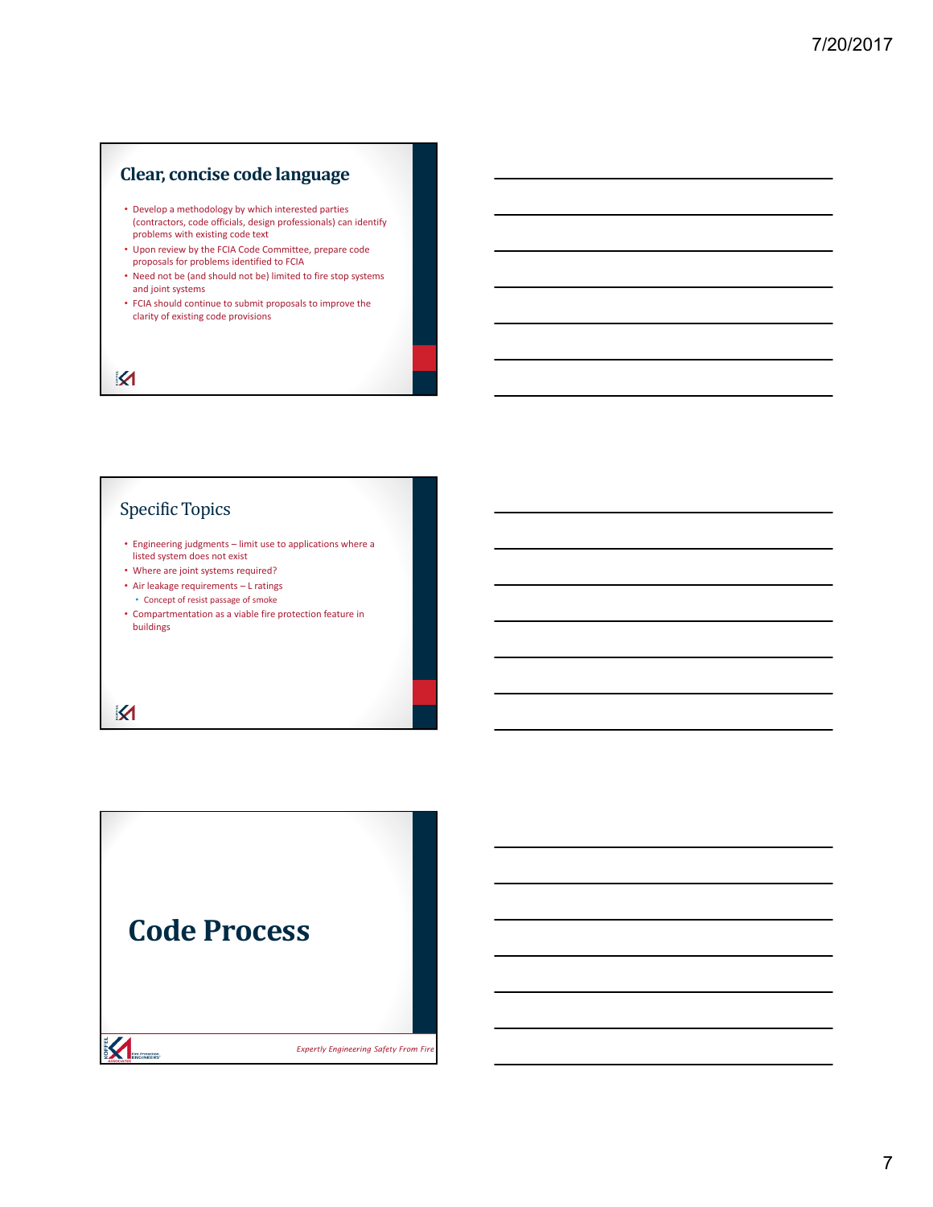## **Clear, concise code language**

- Develop a methodology by which interested parties (contractors, code officials, design professionals) can identify problems with existing code text
- Upon review by the FCIA Code Committee, prepare code proposals for problems identified to FCIA
- Need not be (and should not be) limited to fire stop systems and joint systems
- FCIA should continue to submit proposals to improve the clarity of existing code provisions

 $\boldsymbol{\mathsf{K}}$ 

# Specific Topics

- Engineering judgments limit use to applications where a listed system does not exist
- Where are joint systems required?
- Air leakage requirements L ratings • Concept of resist passage of smoke
- Compartmentation as a viable fire protection feature in buildings

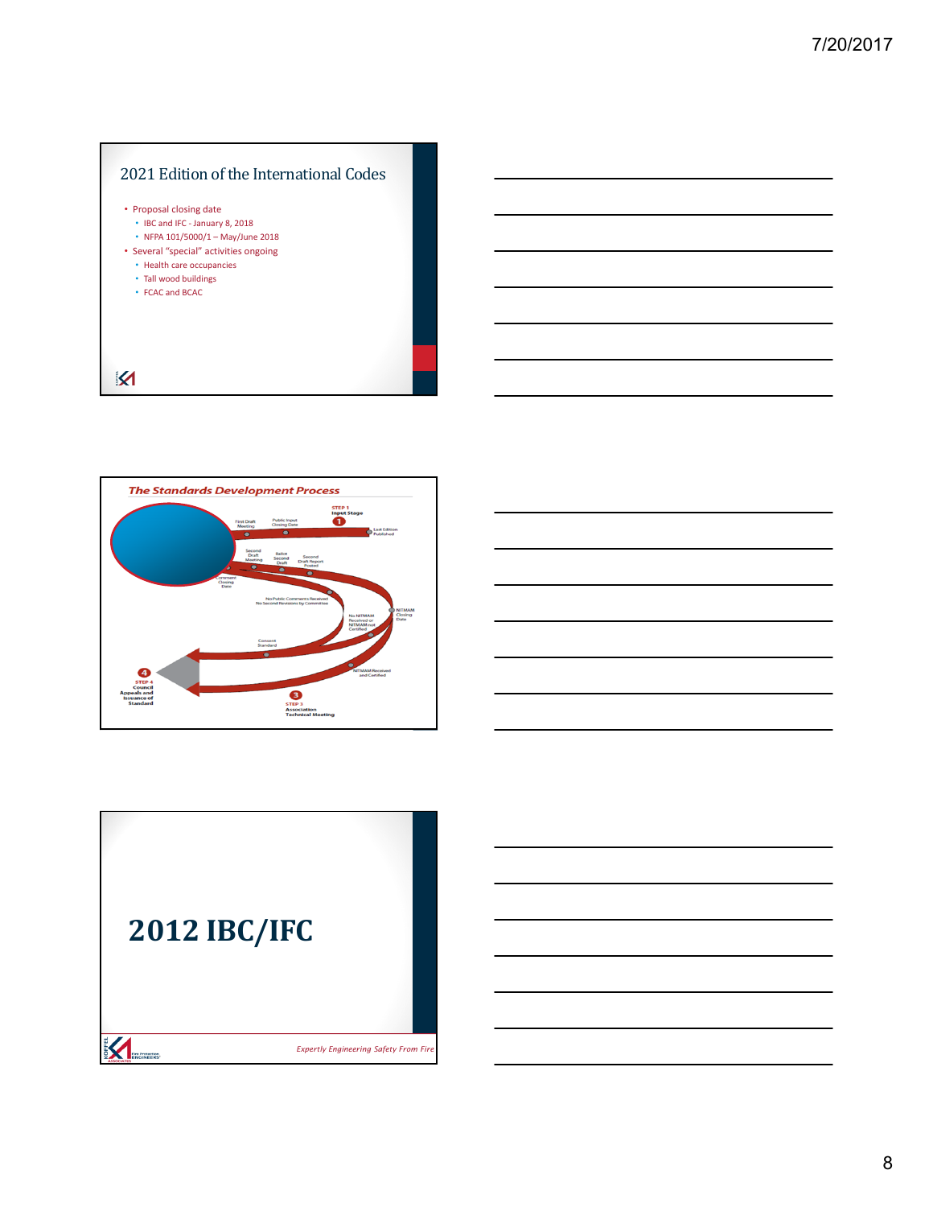



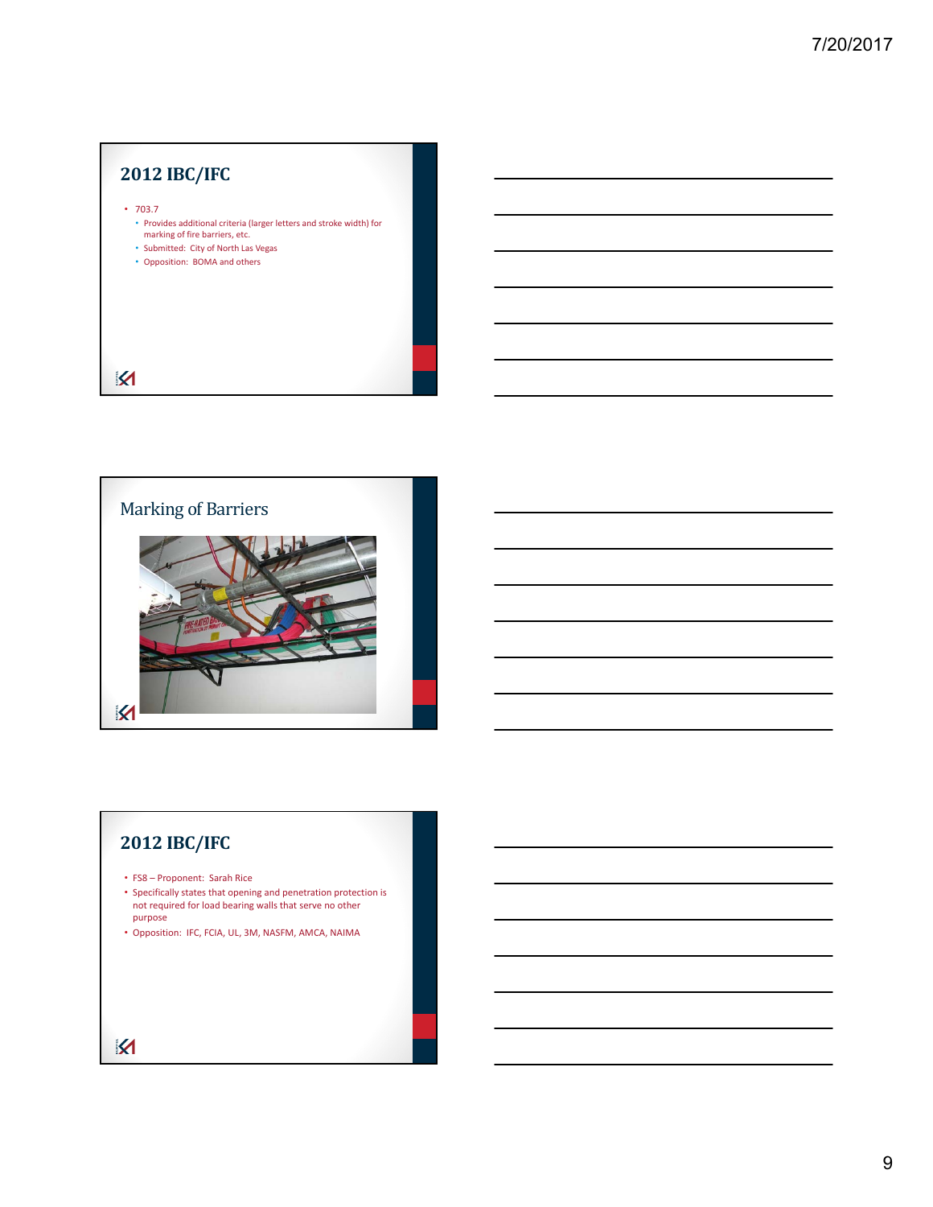# **2012 IBC/IFC** • 703.7 • Provides additional criteria (larger letters and stroke width) for marking of fire barriers, etc. • Submitted: City of North Las Vegas • Opposition: BOMA and others  $\overline{\mathbf{X}}$



# **2012 IBC/IFC**

- FS8 Proponent: Sarah Rice
- Specifically states that opening and penetration protection is not required for load bearing walls that serve no other purpose
- Opposition: IFC, FCIA, UL, 3M, NASFM, AMCA, NAIMA

 $\overline{\mathbf{X}}$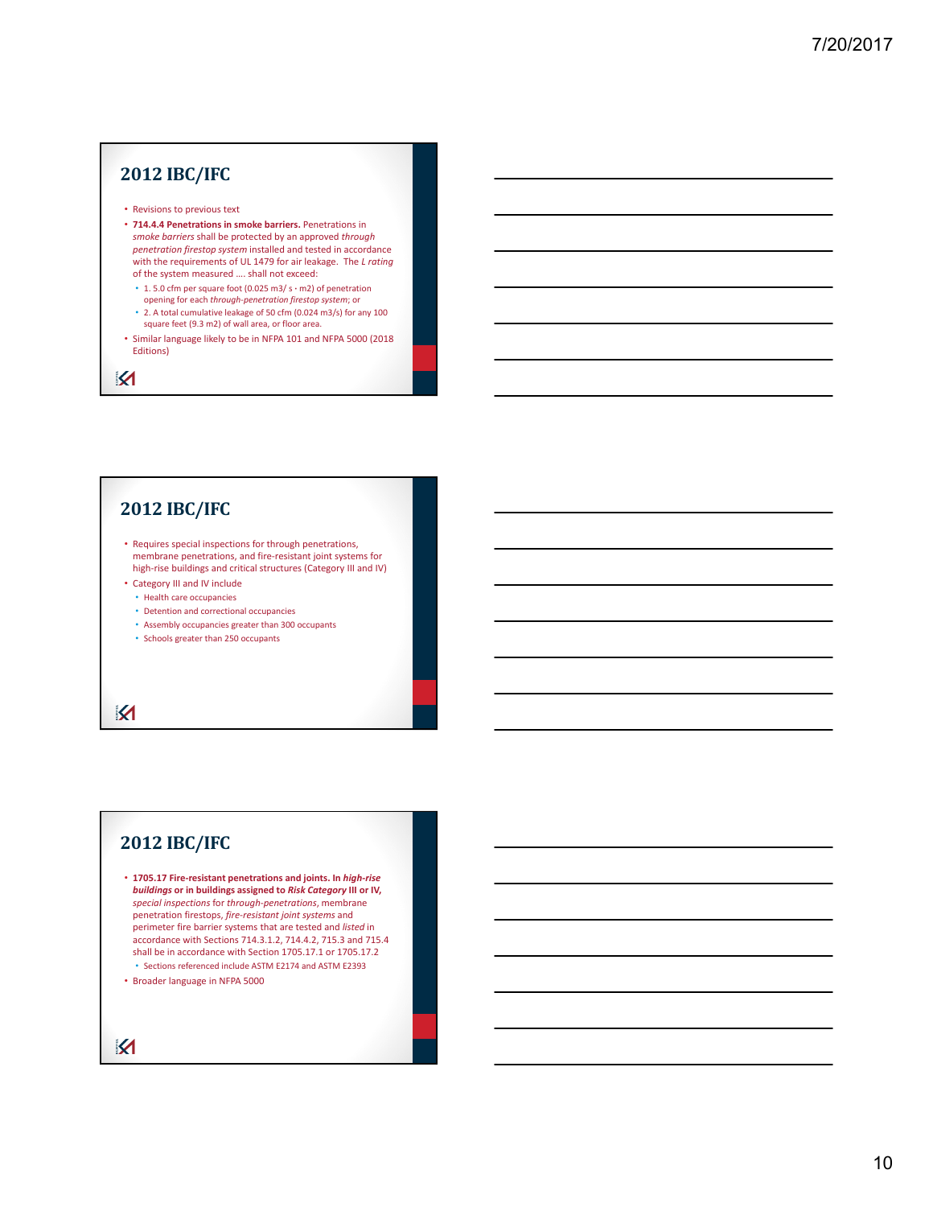# **2012 IBC/IFC**

- Revisions to previous text
- **714.4.4 Penetrations in smoke barriers.** Penetrations in *smoke barriers* shall be protected by an approved *through penetration firestop system* installed and tested in accordance with the requirements of UL 1479 for air leakage. The *L rating* of the system measured …. shall not exceed:
	- 1. 5.0 cfm per square foot (0.025 m3/ s **∙** m2) of penetration opening for each *through‐penetration firestop system*; or • 2. A total cumulative leakage of 50 cfm (0.024 m3/s) for any 100
	- square feet (9.3 m2) of wall area, or floor area.
- Similar language likely to be in NFPA 101 and NFPA 5000 (2018 Editions)

K

# **2012 IBC/IFC**

- Requires special inspections for through penetrations, membrane penetrations, and fire‐resistant joint systems for high-rise buildings and critical structures (Category III and IV)
- Category III and IV include
	- Health care occupancies
	- Detention and correctional occupancies
	- Assembly occupancies greater than 300 occupants
	- Schools greater than 250 occupants

K

### **2012 IBC/IFC**

- **1705.17 Fire‐resistant penetrations and joints. In** *high‐rise buildings* **or in buildings assigned to** *Risk Category* **III or IV,** *special inspections* for *through‐penetrations*, membrane penetration firestops, *fire‐resistant joint systems* and perimeter fire barrier systems that are tested and *listed* in accordance with Sections 714.3.1.2, 714.4.2, 715.3 and 715.4 shall be in accordance with Section 1705.17.1 or 1705.17.2 • Sections referenced include ASTM E2174 and ASTM E2393
- Broader language in NFPA 5000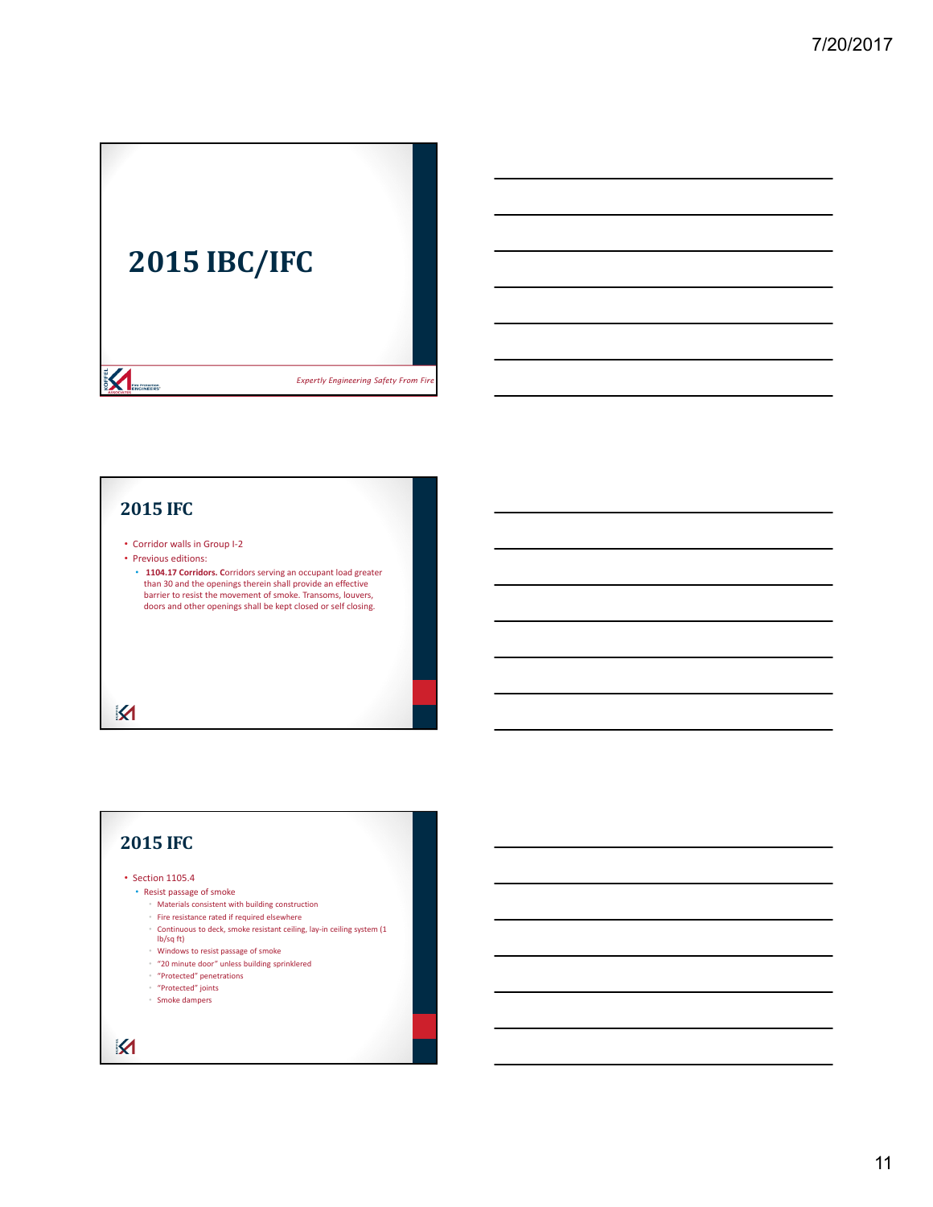

#### **2015 IFC**

• Corridor walls in Group I‐2

• Previous editions:

**1104.17 Corridors.** Corridors serving an occupant load greater than 30 and the openings therein shall provide an effective barrier to resist the movement of smoke. Transoms, louvers, doors and other openings shall be kept closed or self closing.

 $\overline{\mathbf{M}}$ 

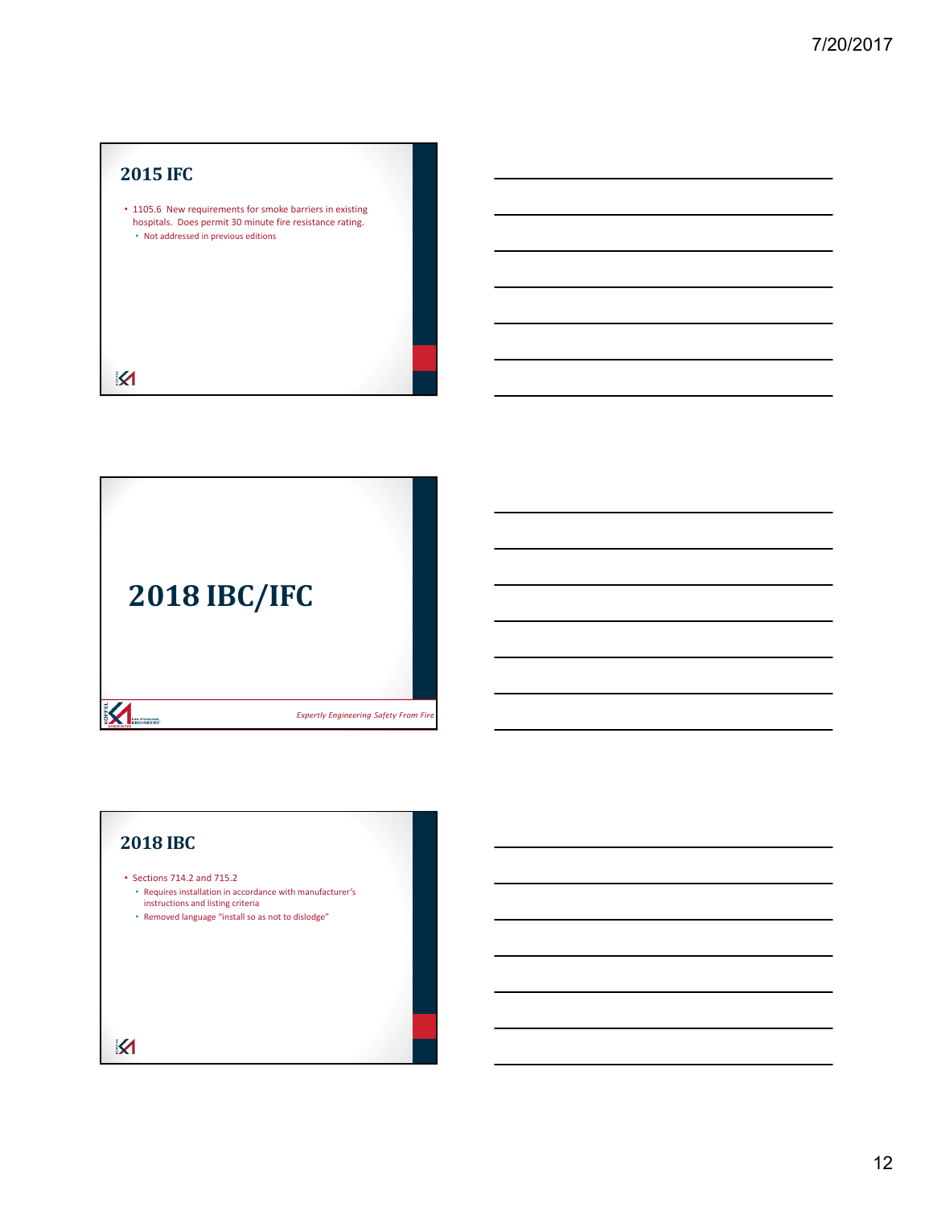# **2015 IFC**

• 1105.6 New requirements for smoke barriers in existing hospitals. Does permit 30 minute fire resistance rating. • Not addressed in previous editions

 $\overline{\mathsf{M}}$ 



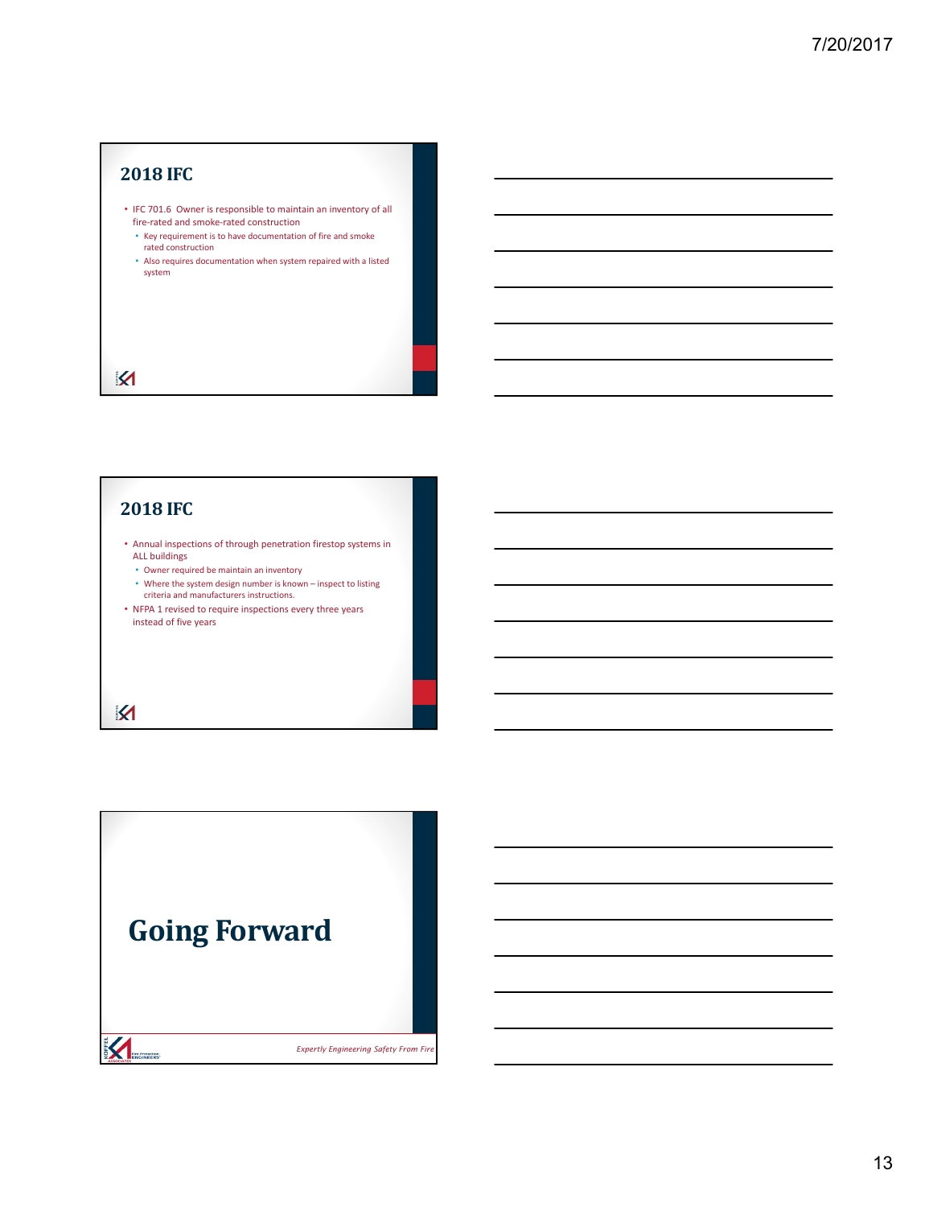### **2018 IFC**

- IFC 701.6 Owner is responsible to maintain an inventory of all fire-rated and smoke-rated construction
- Key requirement is to have documentation of fire and smoke rated construction
- Also requires documentation when system repaired with a listed system

# **2018 IFC**

 $\boldsymbol{\mathsf{M}}$ 

 $\overline{\mathbf{M}}$ 

- Annual inspections of through penetration firestop systems in ALL buildings
	- Owner required be maintain an inventory
	- Where the system design number is known inspect to listing criteria and manufacturers instructions.
- NFPA 1 revised to require inspections every three years instead of five years

# **Going ForwardEXAMPLE AND RESIDENCE** <sup>39</sup> *Expertly Engineering Safety From Fire*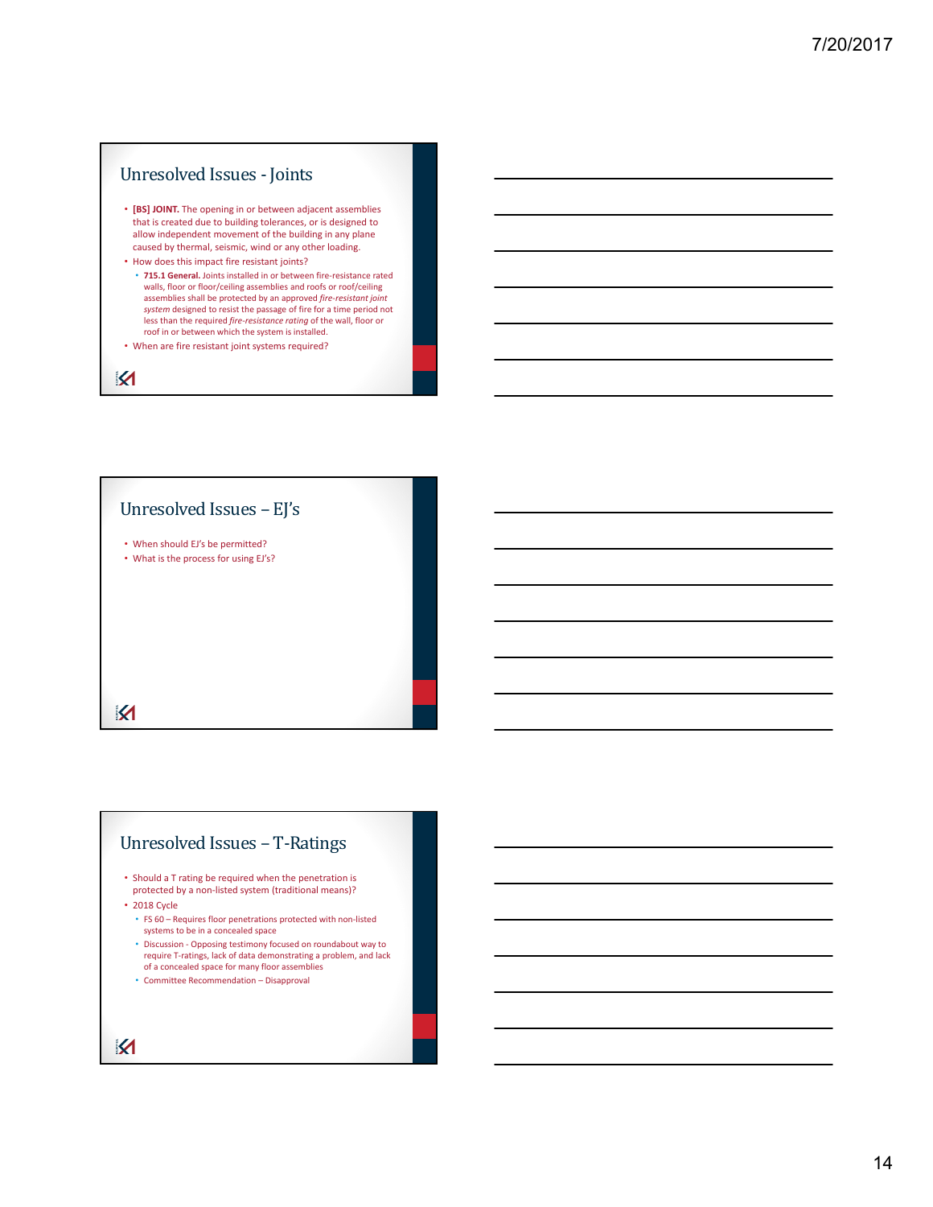#### Unresolved Issues - Joints

- **[BS] JOINT.** The opening in or between adjacent assemblies that is created due to building tolerances, or is designed to allow independent movement of the building in any plane caused by thermal, seismic, wind or any other loading.
- How does this impact fire resistant joints? • **715.1 General.** Joints installed in or between fire‐resistance rated walls, floor or floor/ceiling assemblies and roofs or roof/ceiling assemblies shall be protected by an approved *fire‐resistant joint system* designed to resist the passage of fire for a time period not less than the required *fire-resistance rating* of the wall, floor or roof in or between which the system is installed.
- When are fire resistant joint systems required?

 $\boldsymbol{\mathsf{M}}$ 



# Unresolved Issues - T-Ratings

- Should a T rating be required when the penetration is protected by a non‐listed system (traditional means)?
- 2018 Cycle
	- FS 60 Requires floor penetrations protected with non‐listed systems to be in a concealed space
	- Discussion ‐ Opposing testimony focused on roundabout way to require T‐ratings, lack of data demonstrating a problem, and lack of a concealed space for many floor assemblies • Committee Recommendation – Disapproval
- $\overline{\mathbf{M}}$